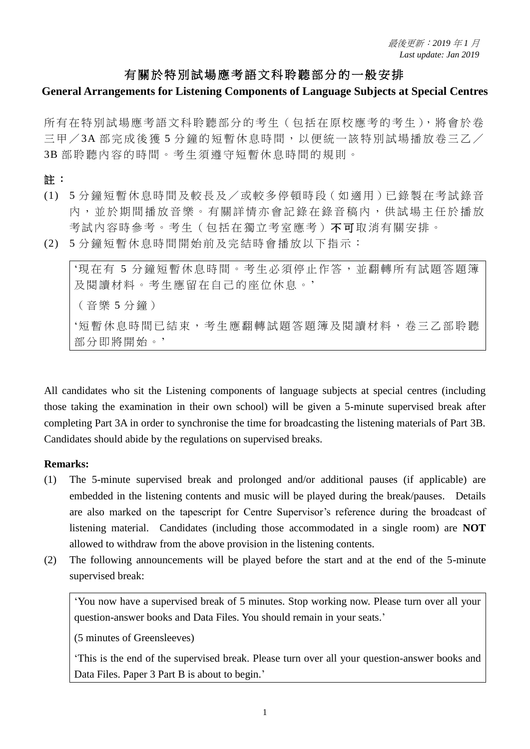## 有關於特別試場應考語文科聆聽部分的一般安排

### **General Arrangements for Listening Components of Language Subjects at Special Centres**

所有在特別試場應考語文科聆聽部分的考生(包括在原校應考的考生),將會於卷 三甲 / 3A 部完成後獲 5 分鐘的短暫休息時間, 以便統一該特別試場播放卷三乙 / 3B 部 聆 聽 內 容 的 時 間 。 考 生 須 遵 守 短 暫 休 息 時 間 的 規 則 。

註 :

- (1) 5 分 鐘 短暫 休 息時 間 及較 長 及/ 或 較多 停頓 時 段(如 適 用)已錄 製 在考 試 錄音 內 ,並於 期 間 播 放 音 樂 。 有 關 詳 情 亦 會 記 錄 在 錄 音 稿 內 , 供 試 場 主 任 於 播 放 考試內容時參考。考生 ( 包括在獨立考室應考 ) 不可取消有關安排。
- (2) 5 分 鐘 短暫 休 息時 間 開始 前 及完 結 時會 播放 以 下指 示 :

'現在有 5 分鐘短暫休息時間。考生必須停止作答, 並翻轉所有試題答題簿 及閱讀材料。考生應留在自己的座位休息。' (音 樂 5 分鐘) '短暫休息時間已結束,考生應翻轉試題答題簿及閱讀材料,卷三乙部聆聽 部分即將開始。'

All candidates who sit the Listening components of language subjects at special centres (including those taking the examination in their own school) will be given a 5-minute supervised break after completing Part 3A in order to synchronise the time for broadcasting the listening materials of Part 3B. Candidates should abide by the regulations on supervised breaks.

#### **Remarks:**

- (1) The 5-minute supervised break and prolonged and/or additional pauses (if applicable) are embedded in the listening contents and music will be played during the break/pauses. Details are also marked on the tapescript for Centre Supervisor's reference during the broadcast of listening material. Candidates (including those accommodated in a single room) are **NOT** allowed to withdraw from the above provision in the listening contents.
- (2) The following announcements will be played before the start and at the end of the 5-minute supervised break:

'You now have a supervised break of 5 minutes. Stop working now. Please turn over all your question-answer books and Data Files. You should remain in your seats.'

(5 minutes of Greensleeves)

'This is the end of the supervised break. Please turn over all your question-answer books and Data Files. Paper 3 Part B is about to begin.'